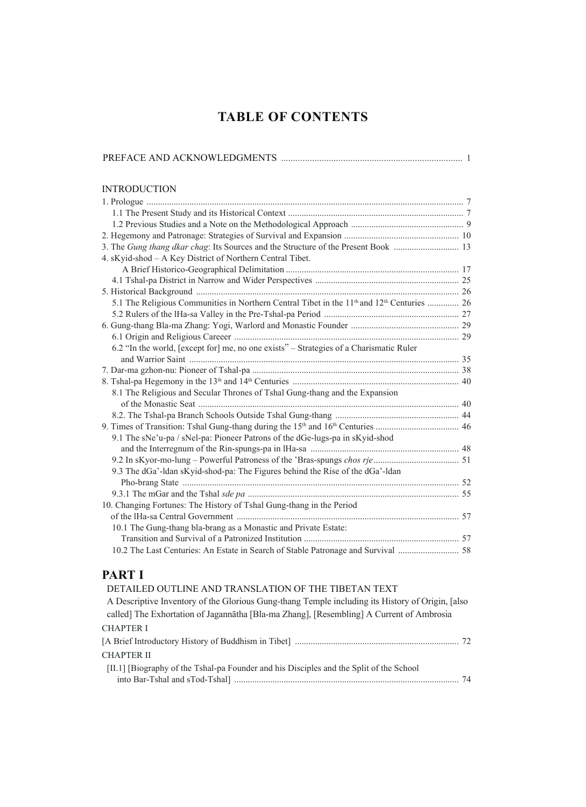# **TABLE OF CONTENTS**

| <b>INTRODUCTION</b>                                                                            |  |
|------------------------------------------------------------------------------------------------|--|
|                                                                                                |  |
|                                                                                                |  |
|                                                                                                |  |
|                                                                                                |  |
| 3. The Gung thang dkar chag: Its Sources and the Structure of the Present Book  13             |  |
| 4. sKyid-shod - A Key District of Northern Central Tibet.                                      |  |
|                                                                                                |  |
|                                                                                                |  |
|                                                                                                |  |
| 5.1 The Religious Communities in Northern Central Tibet in the $11th$ and $12th$ Centuries  26 |  |
|                                                                                                |  |
|                                                                                                |  |
|                                                                                                |  |
| 6.2 "In the world, [except for] me, no one exists" – Strategies of a Charismatic Ruler         |  |
|                                                                                                |  |
|                                                                                                |  |
|                                                                                                |  |
| 8.1 The Religious and Secular Thrones of Tshal Gung-thang and the Expansion                    |  |
|                                                                                                |  |
|                                                                                                |  |
|                                                                                                |  |
| 9.1 The sNe'u-pa / sNel-pa: Pioneer Patrons of the dGe-lugs-pa in sKyid-shod                   |  |
|                                                                                                |  |
|                                                                                                |  |
| 9.3 The dGa'-ldan sKyid-shod-pa: The Figures behind the Rise of the dGa'-ldan                  |  |
|                                                                                                |  |
|                                                                                                |  |
| 10. Changing Fortunes: The History of Tshal Gung-thang in the Period                           |  |
| 10.1 The Gung-thang bla-brang as a Monastic and Private Estate:                                |  |
|                                                                                                |  |
|                                                                                                |  |
|                                                                                                |  |

### **PART I**

| DETAILED OUTLINE AND TRANSLATION OF THE TIBETAN TEXT                                                                                                                                          |  |
|-----------------------------------------------------------------------------------------------------------------------------------------------------------------------------------------------|--|
| A Descriptive Inventory of the Glorious Gung-thang Temple including its History of Origin, [also]<br>called] The Exhortation of Jagannatha [Bla-ma Zhang], [Resembling] A Current of Ambrosia |  |
| <b>CHAPTER I</b>                                                                                                                                                                              |  |
|                                                                                                                                                                                               |  |
| <b>CHAPTER II</b>                                                                                                                                                                             |  |
| [II.1] [Biography of the Tshal-pa Founder and his Disciples and the Split of the School                                                                                                       |  |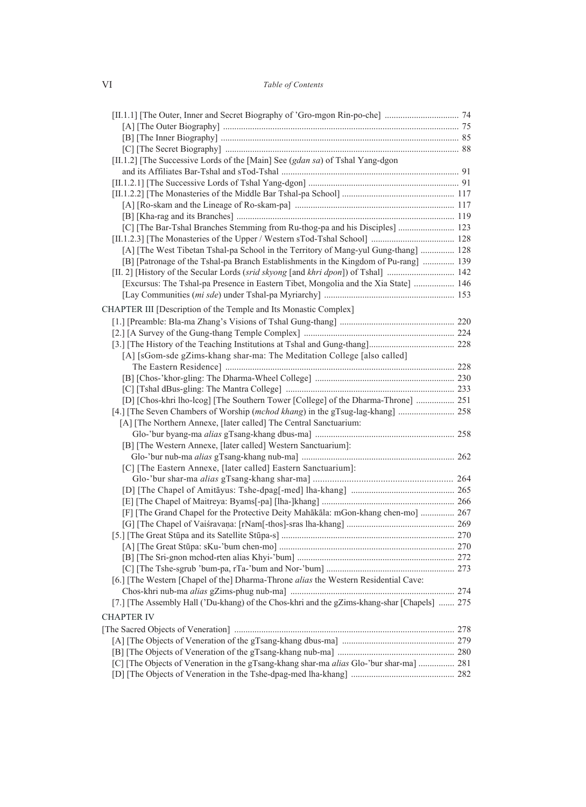#### VI *Table of Contents*

| [II.1.2] [The Successive Lords of the [Main] See (gdan sa) of Tshal Yang-dgon                |  |
|----------------------------------------------------------------------------------------------|--|
|                                                                                              |  |
|                                                                                              |  |
|                                                                                              |  |
|                                                                                              |  |
|                                                                                              |  |
| [C] [The Bar-Tshal Branches Stemming from Ru-thog-pa and his Disciples]  123                 |  |
|                                                                                              |  |
| [A] [The West Tibetan Tshal-pa School in the Territory of Mang-yul Gung-thang]  128          |  |
| [B] [Patronage of the Tshal-pa Branch Establishments in the Kingdom of Pu-rang]  139         |  |
|                                                                                              |  |
| [Excursus: The Tshal-pa Presence in Eastern Tibet, Mongolia and the Xia State]  146          |  |
|                                                                                              |  |
| CHAPTER III [Description of the Temple and Its Monastic Complex]                             |  |
|                                                                                              |  |
|                                                                                              |  |
|                                                                                              |  |
| [A] [sGom-sde gZims-khang shar-ma: The Meditation College [also called]                      |  |
|                                                                                              |  |
|                                                                                              |  |
|                                                                                              |  |
| [D] [Chos-khri lho-lcog] [The Southern Tower [College] of the Dharma-Throne]  251            |  |
|                                                                                              |  |
| [A] [The Northern Annexe, [later called] The Central Sanctuarium:                            |  |
|                                                                                              |  |
| [B] [The Western Annexe, [later called] Western Sanctuarium]:                                |  |
|                                                                                              |  |
| [C] [The Eastern Annexe, [later called] Eastern Sanctuarium]:                                |  |
|                                                                                              |  |
|                                                                                              |  |
|                                                                                              |  |
| [F] [The Grand Chapel for the Protective Deity Mahākāla: mGon-khang chen-mo]  267            |  |
|                                                                                              |  |
|                                                                                              |  |
|                                                                                              |  |
|                                                                                              |  |
|                                                                                              |  |
| [6.] [The Western [Chapel of the] Dharma-Throne alias the Western Residential Cave:          |  |
| [7.] [The Assembly Hall ('Du-khang) of the Chos-khri and the gZims-khang-shar [Chapels]  275 |  |
|                                                                                              |  |
| <b>CHAPTER IV</b>                                                                            |  |
|                                                                                              |  |
|                                                                                              |  |
|                                                                                              |  |
| [C] [The Objects of Veneration in the gTsang-khang shar-ma alias Glo-'bur shar-ma]  281      |  |
|                                                                                              |  |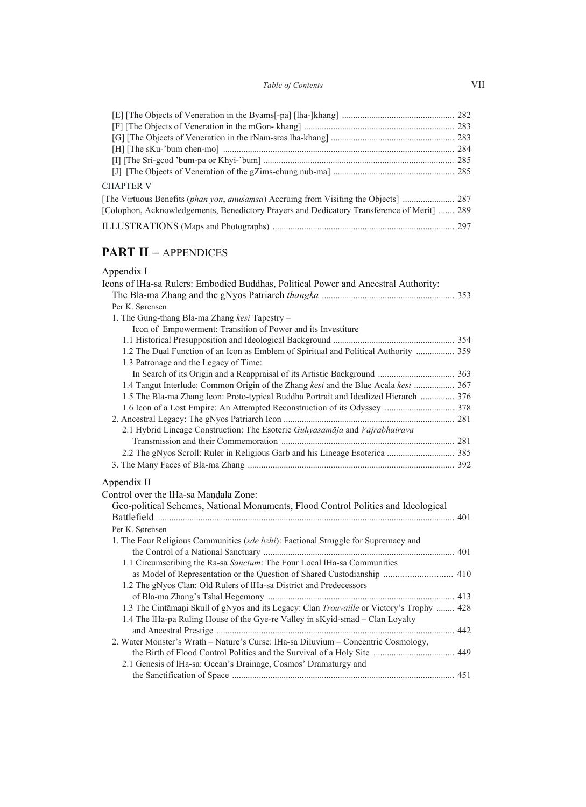#### *Table of Contents* VII

| <b>CHAPTER V</b>                                                                            |  |
|---------------------------------------------------------------------------------------------|--|
|                                                                                             |  |
| [Colophon, Acknowledgements, Benedictory Prayers and Dedicatory Transference of Merit]  289 |  |
|                                                                                             |  |
|                                                                                             |  |

## **PART II – APPENDICES**

| Appendix I |
|------------|
|------------|

| Icons of IHa-sa Rulers: Embodied Buddhas, Political Power and Ancestral Authority:               |  |
|--------------------------------------------------------------------------------------------------|--|
|                                                                                                  |  |
| Per K. Sørensen                                                                                  |  |
| 1. The Gung-thang Bla-ma Zhang kesi Tapestry -                                                   |  |
| Icon of Empowerment: Transition of Power and its Investiture                                     |  |
|                                                                                                  |  |
| 1.2 The Dual Function of an Icon as Emblem of Spiritual and Political Authority  359             |  |
| 1.3 Patronage and the Legacy of Time:                                                            |  |
|                                                                                                  |  |
| 1.4 Tangut Interlude: Common Origin of the Zhang kesi and the Blue Acala kesi  367               |  |
| 1.5 The Bla-ma Zhang Icon: Proto-typical Buddha Portrait and Idealized Hierarch  376             |  |
|                                                                                                  |  |
|                                                                                                  |  |
| 2.1 Hybrid Lineage Construction: The Esoteric Guhyasamāja and Vajrabhairava                      |  |
|                                                                                                  |  |
|                                                                                                  |  |
|                                                                                                  |  |
| Appendix II                                                                                      |  |
| Control over the IHa-sa Mandala Zone:                                                            |  |
| Geo-political Schemes, National Monuments, Flood Control Politics and Ideological                |  |
|                                                                                                  |  |
| Per K. Sørensen                                                                                  |  |
| 1. The Four Religious Communities (sde bzhi): Factional Struggle for Supremacy and               |  |
|                                                                                                  |  |
| 1.1 Circumscribing the Ra-sa Sanctum: The Four Local IHa-sa Communities                          |  |
| as Model of Representation or the Question of Shared Custodianship  410                          |  |
| 1.2 The gNyos Clan: Old Rulers of IHa-sa District and Predecessors                               |  |
|                                                                                                  |  |
| 1.3 The Cintāmani Skull of gNyos and its Legacy: Clan <i>Trouvaille</i> or Victory's Trophy  428 |  |
| 1.4 The IHa-pa Ruling House of the Gye-re Valley in sKyid-smad – Clan Loyalty                    |  |
|                                                                                                  |  |
| 2. Water Monster's Wrath - Nature's Curse: IHa-sa Diluvium - Concentric Cosmology,               |  |
|                                                                                                  |  |
| 2.1 Genesis of IHa-sa: Ocean's Drainage, Cosmos' Dramaturgy and                                  |  |
|                                                                                                  |  |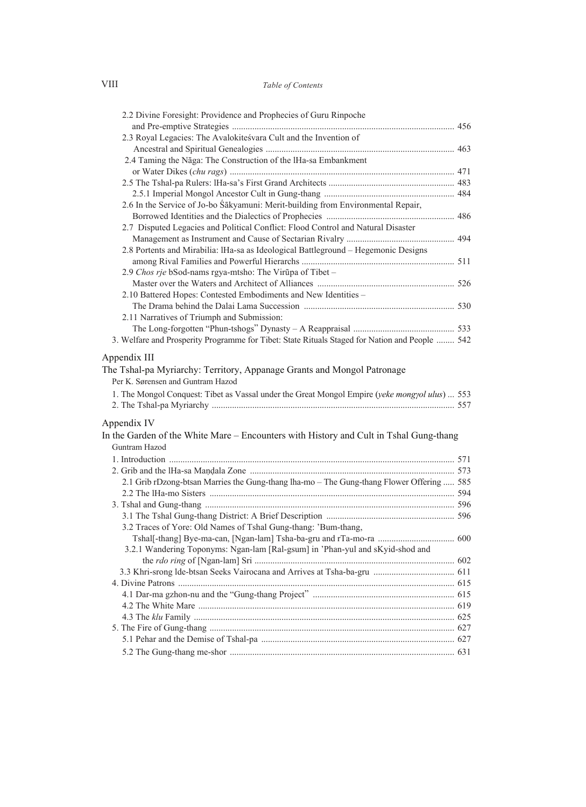#### Table of Contents

| 2.2 Divine Foresight: Providence and Prophecies of Guru Rinpoche                                                                                                                                                               |  |
|--------------------------------------------------------------------------------------------------------------------------------------------------------------------------------------------------------------------------------|--|
|                                                                                                                                                                                                                                |  |
| 2.3 Royal Legacies: The Avalokitesvara Cult and the Invention of                                                                                                                                                               |  |
|                                                                                                                                                                                                                                |  |
| 2.4 Taming the Nāga: The Construction of the IHa-sa Embankment                                                                                                                                                                 |  |
|                                                                                                                                                                                                                                |  |
|                                                                                                                                                                                                                                |  |
| 2.6 In the Service of Jo-bo Sakyamuni: Merit-building from Environmental Repair,                                                                                                                                               |  |
|                                                                                                                                                                                                                                |  |
| 2.7 Disputed Legacies and Political Conflict: Flood Control and Natural Disaster                                                                                                                                               |  |
|                                                                                                                                                                                                                                |  |
| 2.8 Portents and Mirabilia: IHa-sa as Ideological Battleground - Hegemonic Designs                                                                                                                                             |  |
|                                                                                                                                                                                                                                |  |
| 2.9 Chos rje bSod-nams rgya-mtsho: The Virūpa of Tibet –                                                                                                                                                                       |  |
|                                                                                                                                                                                                                                |  |
| 2.10 Battered Hopes: Contested Embodiments and New Identities –                                                                                                                                                                |  |
|                                                                                                                                                                                                                                |  |
| 2.11 Narratives of Triumph and Submission:                                                                                                                                                                                     |  |
|                                                                                                                                                                                                                                |  |
| 3. Welfare and Prosperity Programme for Tibet: State Rituals Staged for Nation and People  542                                                                                                                                 |  |
| Appendix III<br>The Tshal-pa Myriarchy: Territory, Appanage Grants and Mongol Patronage<br>Per K. Sørensen and Guntram Hazod<br>1. The Mongol Conquest: Tibet as Vassal under the Great Mongol Empire (yeke mongyol ulus)  553 |  |
| Appendix IV                                                                                                                                                                                                                    |  |
| In the Garden of the White Mare – Encounters with History and Cult in Tshal Gung-thang<br>Guntram Hazod                                                                                                                        |  |
|                                                                                                                                                                                                                                |  |
|                                                                                                                                                                                                                                |  |
| 2.1 Grib rDzong-btsan Marries the Gung-thang lha-mo - The Gung-thang Flower Offering  585                                                                                                                                      |  |
|                                                                                                                                                                                                                                |  |
|                                                                                                                                                                                                                                |  |
|                                                                                                                                                                                                                                |  |
| 3.2 Traces of Yore: Old Names of Tshal Gung-thang: 'Bum-thang,                                                                                                                                                                 |  |
|                                                                                                                                                                                                                                |  |
| 3.2.1 Wandering Toponyms: Ngan-lam [Ral-gsum] in 'Phan-yul and sKyid-shod and                                                                                                                                                  |  |
|                                                                                                                                                                                                                                |  |
|                                                                                                                                                                                                                                |  |
|                                                                                                                                                                                                                                |  |
|                                                                                                                                                                                                                                |  |
|                                                                                                                                                                                                                                |  |
|                                                                                                                                                                                                                                |  |
|                                                                                                                                                                                                                                |  |
|                                                                                                                                                                                                                                |  |
|                                                                                                                                                                                                                                |  |

 ${\rm VIII}$